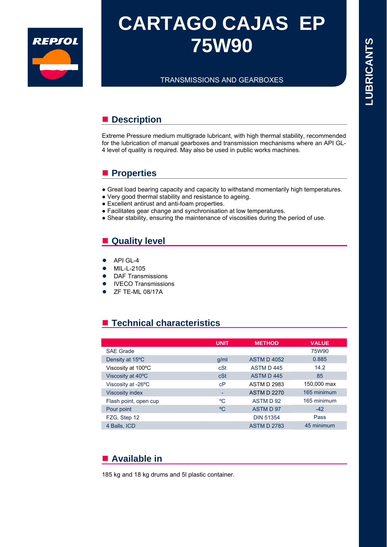

# **CARTAGO CAJAS EP 75W90**

TRANSMISSIONS AND GEARBOXES

## **Description**

Extreme Pressure medium multigrade lubricant, with high thermal stability, recommended for the lubrication of manual gearboxes and transmission mechanisms where an API GL-4 level of quality is required. May also be used in public works machines.

## **Properties**

- Great load bearing capacity and capacity to withstand momentarily high temperatures.
- Very good thermal stability and resistance to ageing.
- Excellent antirust and anti-foam properties.
- Facilitates gear change and synchronisation at low temperatures.
- Shear stability, ensuring the maintenance of viscosities during the period of use.

## ■ Quality level

- API GL-4
- MIL-L-2105
- DAF Transmissions
- IVECO Transmissions
- ZF TE-ML 08/17A

# ■ Technical characteristics

|                        | <b>UNIT</b> | <b>METHOD</b>      | <b>VALUE</b> |
|------------------------|-------------|--------------------|--------------|
| <b>SAE Grade</b>       |             |                    | 75W90        |
| Density at 15°C        | g/ml        | <b>ASTM D 4052</b> | 0.885        |
| Viscosity at 100°C     | cSt         | ASTM D445          | 14.2         |
| Viscosity at 40°C      | cSt         | ASTM D445          | 85           |
| Viscosity at -26°C     | cP          | <b>ASTM D 2983</b> | 150,000 max  |
| <b>Viscosity index</b> | ۰           | <b>ASTM D 2270</b> | 165 minimum  |
| Flash point, open cup  | °C          | ASTM D 92          | 165 minimum  |
| Pour point             | $^{\circ}C$ | ASTM D 97          | $-42$        |
| FZG, Step 12           |             | <b>DIN 51354</b>   | Pass         |
| 4 Balls, ICD           |             | <b>ASTM D 2783</b> | 45 minimum   |

## **Available in**

185 kg and 18 kg drums and 5l plastic container.